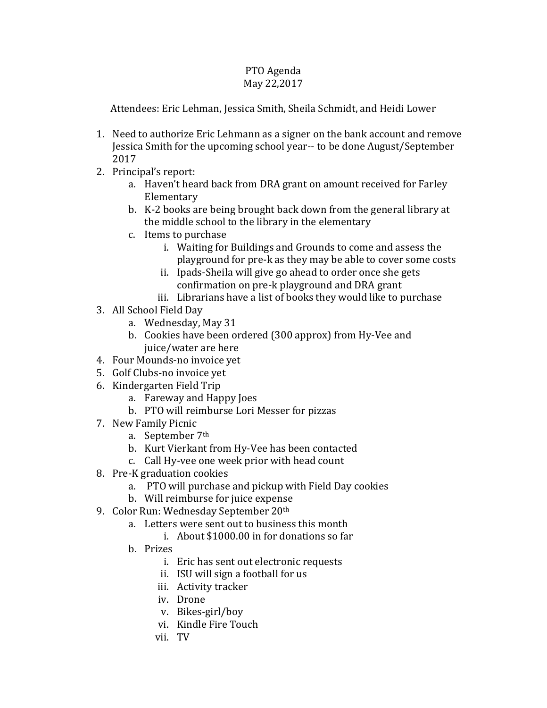## PTO Agenda May 22,2017

Attendees: Eric Lehman, Jessica Smith, Sheila Schmidt, and Heidi Lower

- 1. Need to authorize Eric Lehmann as a signer on the bank account and remove Jessica Smith for the upcoming school year-- to be done August/September 2017
- 2. Principal's report:
	- a. Haven't heard back from DRA grant on amount received for Farley Elementary
	- b. K-2 books are being brought back down from the general library at the middle school to the library in the elementary
	- c. Items to purchase
		- i. Waiting for Buildings and Grounds to come and assess the playground for pre-k as they may be able to cover some costs
		- ii. Ipads-Sheila will give go ahead to order once she gets confirmation on pre-k playground and DRA grant
		- iii. Librarians have a list of books they would like to purchase
- 3. All School Field Day
	- a. Wednesday, May 31
	- b. Cookies have been ordered (300 approx) from Hy-Vee and juice/water are here
- 4. Four Mounds-no invoice yet
- 5. Golf Clubs-no invoice yet
- 6. Kindergarten Field Trip
	- a. Fareway and Happy Joes
	- b. PTO will reimburse Lori Messer for pizzas
- 7. New Family Picnic
	- a. September 7th
	- b. Kurt Vierkant from Hy-Vee has been contacted
	- c. Call Hy-vee one week prior with head count
- 8. Pre-K graduation cookies
	- a. PTO will purchase and pickup with Field Day cookies
	- b. Will reimburse for juice expense
- 9. Color Run: Wednesday September 20th
	- a. Letters were sent out to business this month
		- i. About \$1000.00 in for donations so far
	- b. Prizes
		- i. Eric has sent out electronic requests
		- ii. ISU will sign a football for us
		- iii. Activity tracker
		- iv. Drone
		- v. Bikes-girl/boy
		- vi. Kindle Fire Touch
		- vii. TV